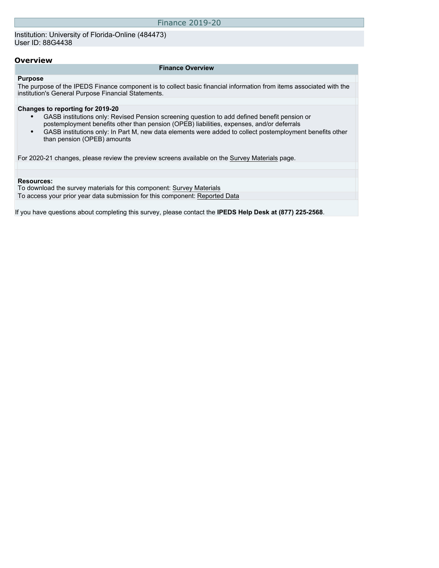Institution: University of Florida-Online (484473) User ID: 88G4438

#### **Overview**

#### **Finance Overview**

#### **Purpose**

The purpose of the IPEDS Finance component is to collect basic financial information from items associated with the institution's General Purpose Financial Statements.

#### **Changes to reporting for 2019-20**

- GASB institutions only: Revised Pension screening question to add defined benefit pension or postemployment benefits other than pension (OPEB) liabilities, expenses, and/or deferrals
- GASB institutions only: In Part M, new data elements were added to collect postemployment benefits other than pension (OPEB) amounts

For 2020-21 changes, please review the preview screens available on the [Survey Materials](https://surveys.nces.ed.gov/ipeds/VisIndex.aspx) page.

#### **Resources:**

To download the survey materials for this component: [Survey Materials](https://surveys.nces.ed.gov/ipeds/VisIndex.aspx) To access your prior year data submission for this component: [Reported Data](http://192.168.102.89/ipeds/PriorYearDataRedirect.aspx?survey_id=5)

If you have questions about completing this survey, please contact the **IPEDS Help Desk at (877) 225-2568**.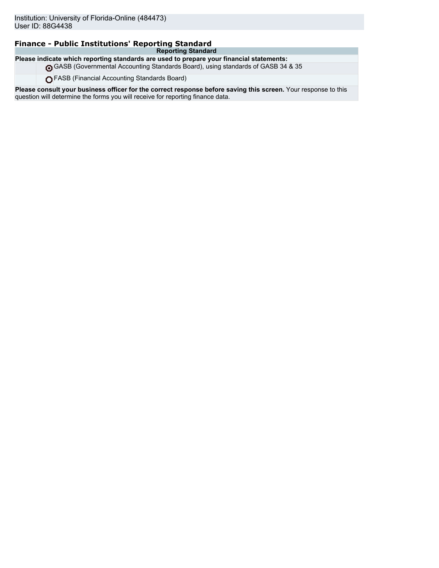### **Finance - Public Institutions' Reporting Standard**

**Reporting Standard Please indicate which reporting standards are used to prepare your financial statements:**

GASB (Governmental Accounting Standards Board), using standards of GASB 34 & 35

FASB (Financial Accounting Standards Board)

**Please consult your business officer for the correct response before saving this screen.** Your response to this question will determine the forms you will receive for reporting finance data.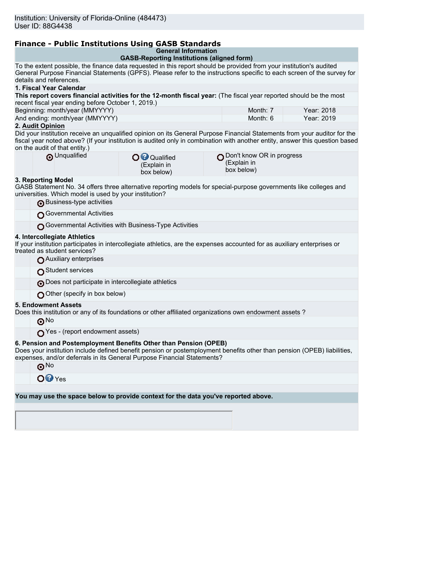ı

# **Finance - Public Institutions Using GASB Standards**

|  | <b>General Information</b> |  |  |
|--|----------------------------|--|--|
|  |                            |  |  |

|                                                                                                                                                                                                                                                                                            | General information<br><b>GASB-Reporting Institutions (aligned form)</b> |                                                                  |            |
|--------------------------------------------------------------------------------------------------------------------------------------------------------------------------------------------------------------------------------------------------------------------------------------------|--------------------------------------------------------------------------|------------------------------------------------------------------|------------|
| To the extent possible, the finance data requested in this report should be provided from your institution's audited<br>General Purpose Financial Statements (GPFS). Please refer to the instructions specific to each screen of the survey for                                            |                                                                          |                                                                  |            |
| details and references.<br>1. Fiscal Year Calendar                                                                                                                                                                                                                                         |                                                                          |                                                                  |            |
| This report covers financial activities for the 12-month fiscal year: (The fiscal year reported should be the most                                                                                                                                                                         |                                                                          |                                                                  |            |
| recent fiscal year ending before October 1, 2019.)                                                                                                                                                                                                                                         |                                                                          |                                                                  |            |
| Beginning: month/year (MMYYYY)                                                                                                                                                                                                                                                             |                                                                          | Month: 7                                                         | Year: 2018 |
| And ending: month/year (MMYYYY)                                                                                                                                                                                                                                                            |                                                                          | Month: 6                                                         | Year: 2019 |
| 2. Audit Opinion                                                                                                                                                                                                                                                                           |                                                                          |                                                                  |            |
| Did your institution receive an unqualified opinion on its General Purpose Financial Statements from your auditor for the<br>fiscal year noted above? (If your institution is audited only in combination with another entity, answer this question based<br>on the audit of that entity.) |                                                                          |                                                                  |            |
| O Unqualified                                                                                                                                                                                                                                                                              | O Qualified<br>(Explain in<br>box below)                                 | Don't know OR in progress $\bigcap$<br>(Explain in<br>box below) |            |
| 3. Reporting Model<br>GASB Statement No. 34 offers three alternative reporting models for special-purpose governments like colleges and<br>universities. Which model is used by your institution?                                                                                          |                                                                          |                                                                  |            |
| Business-type activities                                                                                                                                                                                                                                                                   |                                                                          |                                                                  |            |
| Governmental Activities                                                                                                                                                                                                                                                                    |                                                                          |                                                                  |            |
| Governmental Activities with Business-Type Activities                                                                                                                                                                                                                                      |                                                                          |                                                                  |            |
| 4. Intercollegiate Athletics<br>If your institution participates in intercollegiate athletics, are the expenses accounted for as auxiliary enterprises or<br>treated as student services?                                                                                                  |                                                                          |                                                                  |            |
| Auxiliary enterprises                                                                                                                                                                                                                                                                      |                                                                          |                                                                  |            |
| Student services                                                                                                                                                                                                                                                                           |                                                                          |                                                                  |            |
| Does not participate in intercollegiate athletics                                                                                                                                                                                                                                          |                                                                          |                                                                  |            |
| Other (specify in box below)                                                                                                                                                                                                                                                               |                                                                          |                                                                  |            |
| <b>5. Endowment Assets</b><br>Does this institution or any of its foundations or other affiliated organizations own endowment assets ?                                                                                                                                                     |                                                                          |                                                                  |            |
| $\odot$ No                                                                                                                                                                                                                                                                                 |                                                                          |                                                                  |            |
| $\bigcap$ Yes - (report endowment assets)                                                                                                                                                                                                                                                  |                                                                          |                                                                  |            |
| 6. Pension and Postemployment Benefits Other than Pension (OPEB)<br>Does your institution include defined benefit pension or postemployment benefits other than pension (OPEB) liabilities,<br>expenses, and/or deferrals in its General Purpose Financial Statements?                     |                                                                          |                                                                  |            |
| ⊕™                                                                                                                                                                                                                                                                                         |                                                                          |                                                                  |            |
| $O2$ Yes                                                                                                                                                                                                                                                                                   |                                                                          |                                                                  |            |
|                                                                                                                                                                                                                                                                                            |                                                                          |                                                                  |            |
| You may use the space below to provide context for the data you've reported above.                                                                                                                                                                                                         |                                                                          |                                                                  |            |
|                                                                                                                                                                                                                                                                                            |                                                                          |                                                                  |            |
|                                                                                                                                                                                                                                                                                            |                                                                          |                                                                  |            |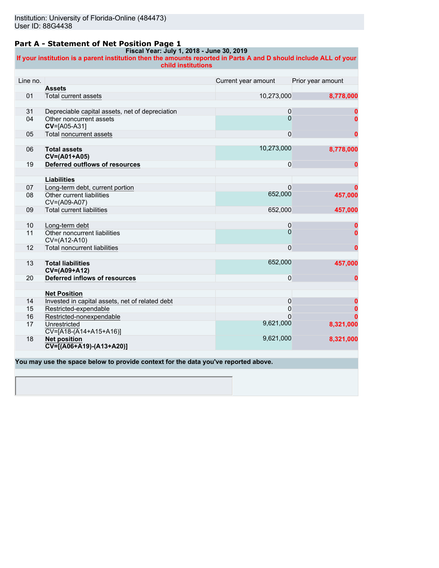#### **Part A - Statement of Net Position Page 1**

#### **Fiscal Year: July 1, 2018 - June 30, 2019**

**If your institution is a parent institution then the amounts reported in Parts A and D should include ALL of your child institutions**

| Line no. |                                                                  | Current year amount | Prior year amount |
|----------|------------------------------------------------------------------|---------------------|-------------------|
|          | <b>Assets</b>                                                    |                     |                   |
| 01       | <b>Total current assets</b>                                      | 10,273,000          | 8,778,000         |
|          |                                                                  |                     |                   |
| 31       | Depreciable capital assets, net of depreciation                  | 0                   |                   |
| 04       | Other noncurrent assets<br>CV=[A05-A31]                          | 0                   |                   |
| 05       | Total noncurrent assets                                          | $\mathbf 0$         | 0                 |
|          |                                                                  |                     |                   |
| 06       | <b>Total assets</b><br>CV=(A01+A05)                              | 10,273,000          | 8,778,000         |
| 19       | Deferred outflows of resources                                   | 0                   | 0                 |
|          |                                                                  |                     |                   |
|          | <b>Liabilities</b>                                               |                     |                   |
| 07       | Long-term debt, current portion                                  | $\Omega$            |                   |
| 08       | Other current liabilities<br>CV=(A09-A07)                        | 652,000             | 457,000           |
| 09       | <b>Total current liabilities</b>                                 | 652,000             | 457,000           |
|          |                                                                  |                     |                   |
| 10       | Long-term debt                                                   | 0                   |                   |
| 11       | Other noncurrent liabilities<br>CV=(A12-A10)                     | $\Omega$            |                   |
| 12       | <b>Total noncurrent liabilities</b>                              | $\mathbf 0$         | 0                 |
|          |                                                                  |                     |                   |
| 13       | <b>Total liabilities</b><br>CV=(A09+A12)                         | 652,000             | 457,000           |
| 20       | Deferred inflows of resources                                    | 0                   | 0                 |
|          |                                                                  |                     |                   |
|          | <b>Net Position</b>                                              |                     |                   |
| 14       | Invested in capital assets, net of related debt                  | 0                   |                   |
| 15       | Restricted-expendable                                            | 0                   |                   |
| 16       | Restricted-nonexpendable                                         |                     |                   |
| 17       | Unrestricted<br>$CV=[A18-(A14+A15+A16)]$                         | 9,621,000           | 8,321,000         |
| 18       | <b>Net position</b><br>$\overline{CV}$ = [(A06+A19) - (A13+A20)] | 9,621,000           | 8,321,000         |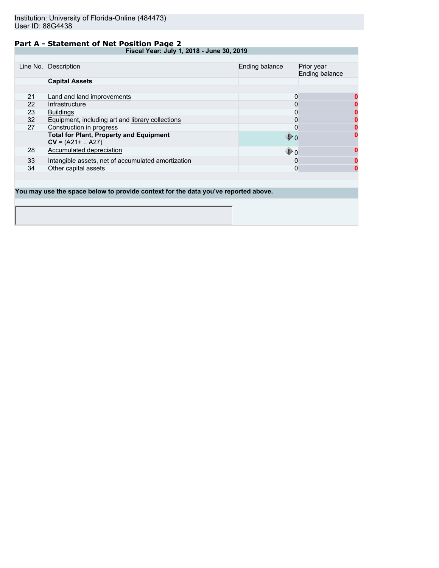### **Part A - Statement of Net Position Page 2**

**Fiscal Year: July 1, 2018 - June 30, 2019**

|    | Line No. Description                                                  | Ending balance    | Prior year<br>Ending balance |
|----|-----------------------------------------------------------------------|-------------------|------------------------------|
|    | <b>Capital Assets</b>                                                 |                   |                              |
|    |                                                                       |                   |                              |
| 21 | Land and land improvements                                            | 0                 | 0                            |
| 22 | Infrastructure                                                        |                   |                              |
| 23 | <b>Buildings</b>                                                      | 0                 |                              |
| 32 | Equipment, including art and library collections                      | 0                 |                              |
| 27 | Construction in progress                                              | 0                 |                              |
|    | <b>Total for Plant, Property and Equipment</b><br>$CV = (A21 +  A27)$ | $\mathbf{\Phi}$ o | 0                            |
| 28 | Accumulated depreciation                                              | $\mathbf{\Phi}$ o | 0                            |
| 33 | Intangible assets, net of accumulated amortization                    | 0                 | 0                            |
| 34 | Other capital assets                                                  | 0                 | 0                            |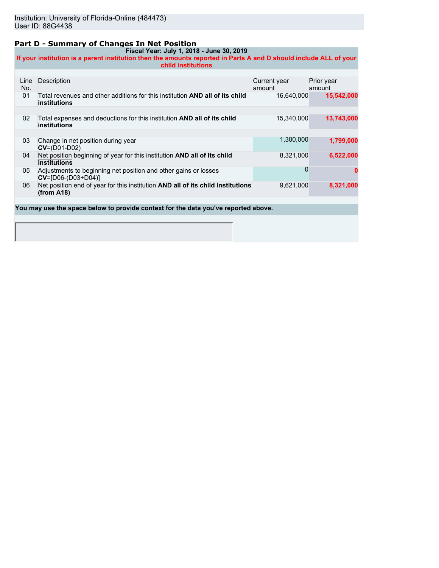### **Part D - Summary of Changes In Net Position**

**Fiscal Year: July 1, 2018 - June 30, 2019 If your institution is a parent institution then the amounts reported in Parts A and D should include ALL of your child institutions**

| Line<br>No. | Description                                                                                                | Current year<br>amount | Prior year<br>amount |
|-------------|------------------------------------------------------------------------------------------------------------|------------------------|----------------------|
| 01          | Total revenues and other additions for this institution <b>AND all of its child</b><br><b>institutions</b> | 16.640.000             | 15,542,000           |
|             |                                                                                                            |                        |                      |
| 02          | Total expenses and deductions for this institution <b>AND all of its child</b><br><b>institutions</b>      | 15,340,000             | 13,743,000           |
|             |                                                                                                            |                        |                      |
| 03          | Change in net position during year<br>$CV=(D01-D02)$                                                       | 1,300,000              | 1,799,000            |
| 04          | Net position beginning of year for this institution <b>AND all of its child</b><br>institutions            | 8,321,000              | 6,522,000            |
| 05          | Adjustments to beginning net position and other gains or losses<br>$CV = [D06-(D03+D04)]$                  | O                      | 0                    |
| 06          | Net position end of year for this institution AND all of its child institutions<br>(from A18)              | 9,621,000              | 8,321,000            |
|             |                                                                                                            |                        |                      |
|             | You may use the space below to provide context for the data you've reported above.                         |                        |                      |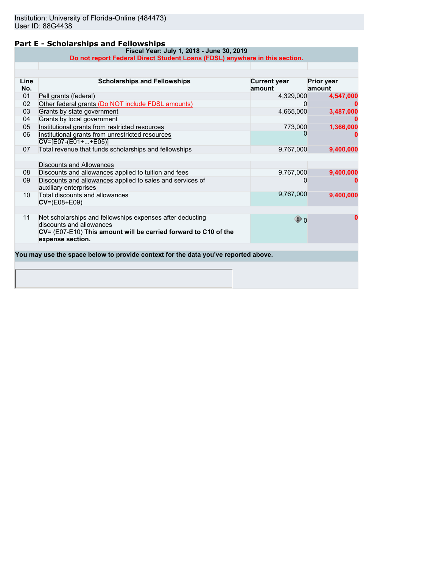### **Part E - Scholarships and Fellowships**

**Line No.**

**CV**=(E08+E09)

**expense section.**

discounts and allowances

11 Net scholarships and fellowships expenses after deducting

**CV**= (E07-E10) **This amount will be carried forward to C10 of the**

**You may use the space below to provide context for the data you've reported above.**

|              | Fiscal Year: July 1, 2018 - June 30, 2019<br>Do not report Federal Direct Student Loans (FDSL) anywhere in this section. |                               |                             |
|--------------|--------------------------------------------------------------------------------------------------------------------------|-------------------------------|-----------------------------|
|              |                                                                                                                          |                               |                             |
| Line.<br>No. | <b>Scholarships and Fellowships</b>                                                                                      | <b>Current year</b><br>amount | <b>Prior year</b><br>amount |
| 01           | Pell grants (federal)                                                                                                    | 4,329,000                     | 4,547,000                   |
| 02           | Other federal grants (Do NOT include FDSL amounts)                                                                       |                               | 0                           |
| 03           | Grants by state government                                                                                               | 4,665,000                     | 3,487,000                   |
| 04           | Grants by local government                                                                                               |                               | 0                           |
| 05           | Institutional grants from restricted resources                                                                           | 773,000                       | 1,366,000                   |
| 06           | Institutional grants from unrestricted resources<br>$CV=[E07-(E01++E05)]$                                                |                               | o                           |
| 07           | Total revenue that funds scholarships and fellowships                                                                    | 9,767,000                     | 9,400,000                   |
|              |                                                                                                                          |                               |                             |
|              | Discounts and Allowances                                                                                                 |                               |                             |
| 08           | Discounts and allowances applied to tuition and fees                                                                     | 9,767,000                     | 9,400,000                   |
| 09           | Discounts and allowances applied to sales and services of<br>auxiliary enterprises                                       |                               | 0                           |
| 10           | Total discounts and allowances                                                                                           | 9,767,000                     | 9,400,000                   |

0 **0**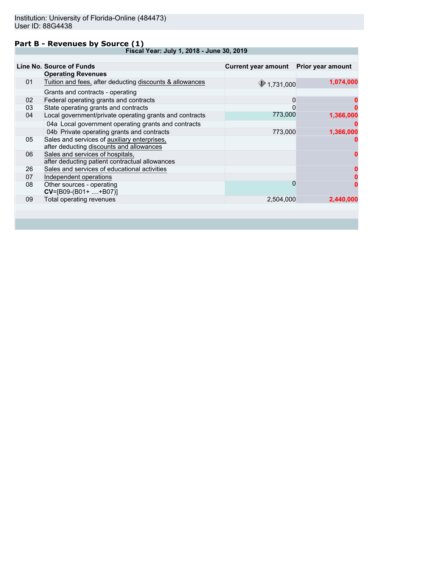#### **Part B - Revenues by Source (1)**

**Fiscal Year: July 1, 2018 - June 30, 2019**

|    | Line No. Source of Funds                                 | Current year amount Prior year amount |           |
|----|----------------------------------------------------------|---------------------------------------|-----------|
|    | <b>Operating Revenues</b>                                |                                       |           |
|    |                                                          |                                       |           |
| 01 | Tuition and fees, after deducting discounts & allowances | 91,731,000                            | 1,074,000 |
|    | Grants and contracts - operating                         |                                       |           |
| 02 | Federal operating grants and contracts                   | 0                                     |           |
| 03 | State operating grants and contracts                     | 0                                     |           |
| 04 | Local government/private operating grants and contracts  | 773,000                               | 1,366,000 |
|    | 04a Local government operating grants and contracts      |                                       |           |
|    | 04b Private operating grants and contracts               | 773,000                               | 1,366,000 |
| 05 | Sales and services of auxiliary enterprises,             |                                       |           |
|    | after deducting discounts and allowances                 |                                       |           |
| 06 | Sales and services of hospitals,                         |                                       |           |
|    | after deducting patient contractual allowances           |                                       |           |
| 26 | Sales and services of educational activities             |                                       |           |
| 07 | Independent operations                                   |                                       |           |
| 08 | Other sources - operating                                | 0                                     |           |
|    | $CV=[B09-(B01+ +B07)]$                                   |                                       |           |
| 09 | Total operating revenues                                 | 2,504,000                             | 2.440.000 |
|    |                                                          |                                       |           |
|    |                                                          |                                       |           |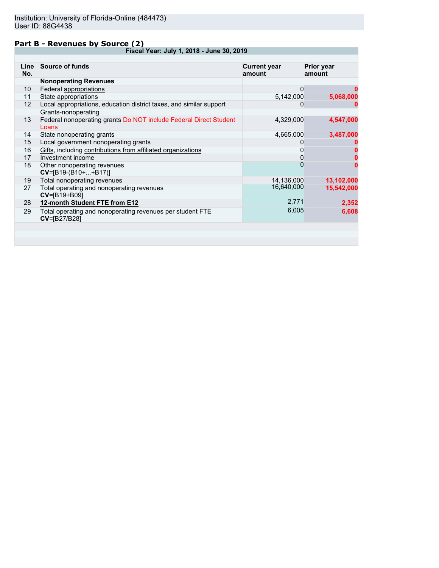### **Part B - Revenues by Source (2)**

**Fiscal Year: July 1, 2018 - June 30, 2019**

| Line<br>No. | <b>Source of funds</b>                                                     | <b>Current year</b><br>amount | <b>Prior year</b><br>amount |
|-------------|----------------------------------------------------------------------------|-------------------------------|-----------------------------|
|             | <b>Nonoperating Revenues</b>                                               |                               |                             |
| 10          | Federal appropriations                                                     | 0                             | 0                           |
| 11          | State appropriations                                                       | 5,142,000                     | 5,068,000                   |
| 12          | Local appropriations, education district taxes, and similar support        | 0                             |                             |
|             | Grants-nonoperating                                                        |                               |                             |
| 13          | Federal nonoperating grants Do NOT include Federal Direct Student<br>Loans | 4,329,000                     | 4,547,000                   |
| 14          | State nonoperating grants                                                  | 4,665,000                     | 3,487,000                   |
| 15          | Local government nonoperating grants                                       |                               |                             |
| 16          | Gifts, including contributions from affiliated organizations               | 0                             |                             |
| 17          | Investment income                                                          | 0                             |                             |
| 18          | Other nonoperating revenues<br>$CV=[B19-(B10++B17)]$                       | 0                             | 0                           |
| 19          | Total nonoperating revenues                                                | 14,136,000                    | 13,102,000                  |
| 27          | Total operating and nonoperating revenues<br>CV=[B19+B09]                  | 16,640,000                    | 15,542,000                  |
| 28          | 12-month Student FTE from E12                                              | 2,771                         | 2,352                       |
| 29          | Total operating and nonoperating revenues per student FTE<br>CV=[B27/B28]  | 6,005                         | 6,608                       |
|             |                                                                            |                               |                             |
|             |                                                                            |                               |                             |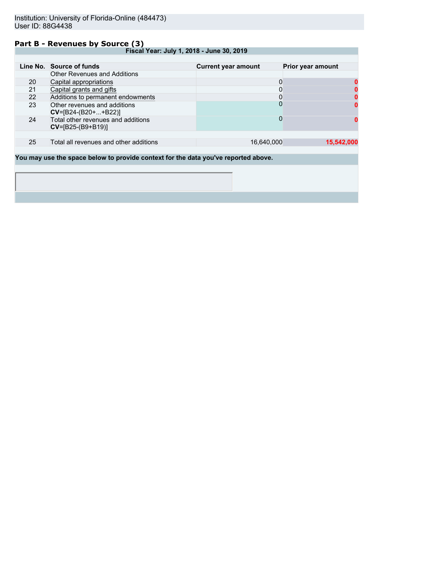#### **Part B - Revenues by Source (3)**

**Fiscal Year: July 1, 2018 - June 30, 2019**

|                                                                                                                                                                                                                                     | Line No. Source of funds                                                                                        | <b>Current year amount</b> | Prior year amount |
|-------------------------------------------------------------------------------------------------------------------------------------------------------------------------------------------------------------------------------------|-----------------------------------------------------------------------------------------------------------------|----------------------------|-------------------|
|                                                                                                                                                                                                                                     | <b>Other Revenues and Additions</b>                                                                             |                            |                   |
| 20                                                                                                                                                                                                                                  | Capital appropriations                                                                                          |                            |                   |
| 21                                                                                                                                                                                                                                  | Capital grants and gifts                                                                                        |                            |                   |
| 22                                                                                                                                                                                                                                  | Additions to permanent endowments                                                                               |                            |                   |
| 23                                                                                                                                                                                                                                  | Other revenues and additions<br>$CV=[B24-(B20++B22)]$                                                           |                            |                   |
| 24                                                                                                                                                                                                                                  | Total other revenues and additions<br>$CV = [B25-(B9+B19)]$                                                     |                            |                   |
|                                                                                                                                                                                                                                     |                                                                                                                 |                            |                   |
| 25                                                                                                                                                                                                                                  | Total all revenues and other additions                                                                          | 16,640,000                 | 15,542,000        |
|                                                                                                                                                                                                                                     |                                                                                                                 |                            |                   |
| <b>Notes</b> the contract of the contract of the contract of the contract of the contract of the contract of the contract of the contract of the contract of the contract of the contract of the contract of the contract of the co | and the company of the first state of the company of the state of the company of the company of the first state |                            |                   |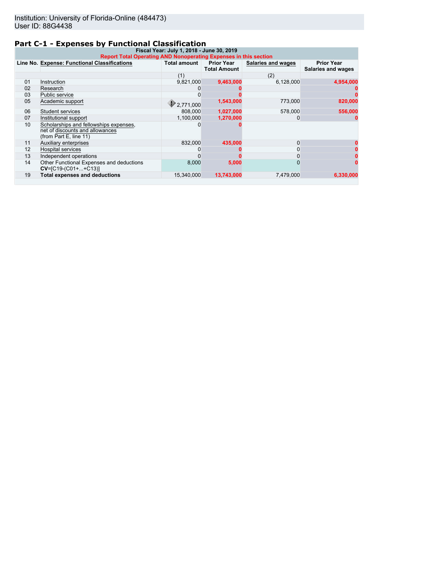# **Part C-1 - Expenses by Functional Classification**

| Fiscal Year: July 1, 2018 - June 30, 2019<br>Report Total Operating AND Nonoperating Expenses in this section |                                                                                                     |                     |                                          |                    |                                                |  |
|---------------------------------------------------------------------------------------------------------------|-----------------------------------------------------------------------------------------------------|---------------------|------------------------------------------|--------------------|------------------------------------------------|--|
|                                                                                                               | Line No. Expense: Functional Classifications                                                        | <b>Total amount</b> | <b>Prior Year</b><br><b>Total Amount</b> | Salaries and wages | <b>Prior Year</b><br><b>Salaries and wages</b> |  |
|                                                                                                               |                                                                                                     | (1)                 |                                          | (2)                |                                                |  |
| 01                                                                                                            | Instruction                                                                                         | 9,821,000           | 9,463,000                                | 6,128,000          | 4,954,000                                      |  |
| 02                                                                                                            | Research                                                                                            |                     |                                          |                    |                                                |  |
| 03                                                                                                            | Public service                                                                                      |                     |                                          |                    |                                                |  |
| 05                                                                                                            | Academic support                                                                                    | 2.771.000           | 1,543,000                                | 773,000            | 820,000                                        |  |
| 06                                                                                                            | Student services                                                                                    | 808,000             | 1,027,000                                | 578,000            | 556,000                                        |  |
| 07                                                                                                            | Institutional support                                                                               | 1.100.000           | 1,270,000                                |                    |                                                |  |
| 10                                                                                                            | Scholarships and fellowships expenses,<br>net of discounts and allowances<br>(from Part E, line 11) |                     |                                          |                    |                                                |  |
| 11                                                                                                            | <b>Auxiliary enterprises</b>                                                                        | 832,000             | 435.000                                  |                    |                                                |  |
| 12                                                                                                            | <b>Hospital services</b>                                                                            |                     |                                          |                    |                                                |  |
| 13                                                                                                            | Independent operations                                                                              |                     |                                          |                    |                                                |  |
| 14                                                                                                            | Other Functional Expenses and deductions<br>$CV=[C19-(C01++C13)]$                                   | 8,000               | 5,000                                    |                    |                                                |  |
| 19                                                                                                            | <b>Total expenses and deductions</b>                                                                | 15.340.000          | 13,743,000                               | 7.479.000          | 6.330.000                                      |  |
|                                                                                                               |                                                                                                     |                     |                                          |                    |                                                |  |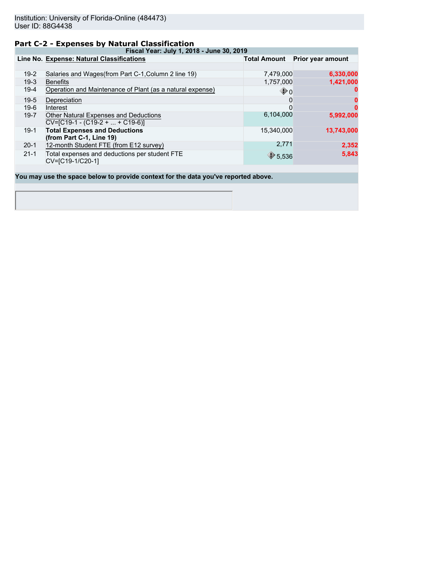### **Part C-2 - Expenses by Natural Classification**

**Fiscal Year: July 1, 2018 - June 30, 2019**

|          | Line No. Expense: Natural Classifications                                  | <b>Total Amount</b> | Prior year amount |
|----------|----------------------------------------------------------------------------|---------------------|-------------------|
|          |                                                                            |                     |                   |
| $19-2$   | Salaries and Wages (from Part C-1, Column 2 line 19)                       | 7,479,000           | 6,330,000         |
| $19-3$   | <b>Benefits</b>                                                            | 1,757,000           | 1,421,000         |
| $19-4$   | Operation and Maintenance of Plant (as a natural expense)                  | $\mathbf{\Phi}$ o   | 0                 |
| $19-5$   | Depreciation                                                               | 0                   | 0                 |
| $19-6$   | Interest                                                                   | 0                   | 0                 |
| $19 - 7$ | Other Natural Expenses and Deductions<br>$CV=[C19-1 - (C19-2 +  + C19-6)]$ | 6.104.000           | 5,992,000         |
| $19-1$   | <b>Total Expenses and Deductions</b><br>(from Part C-1, Line 19)           | 15,340,000          | 13,743,000        |
| $20-1$   | 12-month Student FTE (from E12 survey)                                     | 2,771               | 2,352             |
| $21 - 1$ | Total expenses and deductions per student FTE<br>CV=[C19-1/C20-1]          | $\bigcirc$ 5,536    | 5,843             |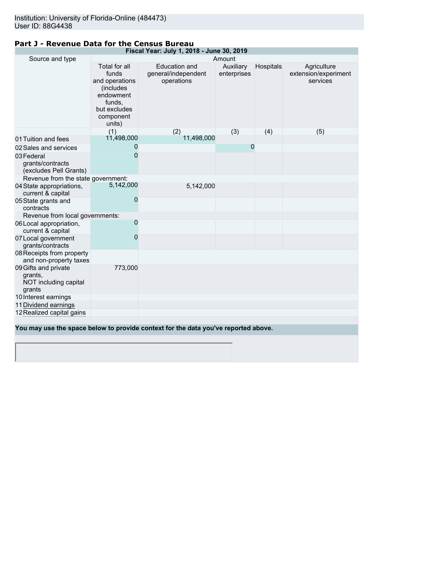#### **Fiscal Year: July 1, 2018 - June 30, 2019** Source and type Amount Total for all funds and operations (includes endowment funds, but excludes component units) Education and general/independent operations Auxiliary enterprises Hospitals **Agriculture** extension/experiment services (1)  $(2)$   $(3)$   $(4)$   $(5)$ <br>11,498,000 01 Tuition and fees 11,498,000<br>02 Sales and services 0 02 Sales and services 0<br>03 Federal 0 0 03Federal grants/contracts (excludes Pell Grants) 0 and 0 and 0 and 0 and 0 and 0 and 0 and 0 and 0 and 0 and 0 and 0 and 0 and 0 and 0 and 0 and 0 and 0 and 0 Revenue from the state government:<br>State appropriations. 5,142,000 04State appropriations, current & capital 5,142,000 5,142,000 05State grants and contracts 0 Revenue from local governments: 06Local appropriation, current & capital 0 and 0 and 0 and 0 and 0 and 0 and 0 and 0 and 0 and 0 and 0 and 0 and 0 and 0 and 0 and 0 and 0 and 0 and 0 07Local government grants/contracts 0 and 20 and 20 and 20 and 20 and 20 and 20 and 20 and 20 and 20 and 20 and 20 and 20 and 20 and 20 and 20 and 08Receipts from property and non-property taxes 09Gifts and private grants, NOT including capital grants 773,000 10 Interest earnings 11Dividend earnings 12Realized capital gains **You may use the space below to provide context for the data you've reported above.**

#### **Part J - Revenue Data for the Census Bureau**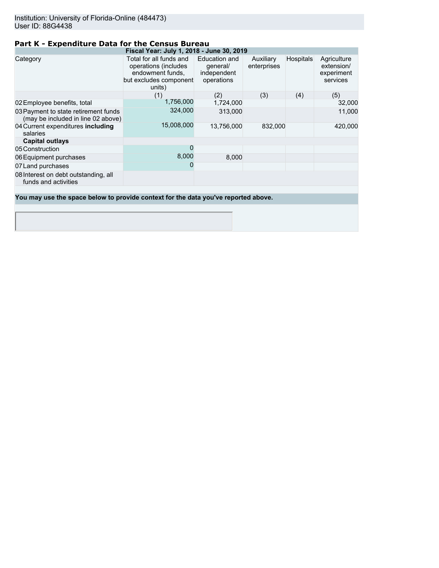# **Part K - Expenditure Data for the Census Bureau**

|                                                                                    | Fiscal Year: July 1, 2018 - June 30, 2019                                                               |                                                        |                          |                  |                                                     |
|------------------------------------------------------------------------------------|---------------------------------------------------------------------------------------------------------|--------------------------------------------------------|--------------------------|------------------|-----------------------------------------------------|
| Category                                                                           | Total for all funds and<br>operations (includes<br>endowment funds,<br>but excludes component<br>units) | Education and<br>general/<br>independent<br>operations | Auxiliary<br>enterprises | <b>Hospitals</b> | Agriculture<br>extension/<br>experiment<br>services |
|                                                                                    | (1)                                                                                                     | (2)                                                    | (3)                      | (4)              | (5)                                                 |
| 02 Employee benefits, total                                                        | 1,756,000                                                                                               | 1,724,000                                              |                          |                  | 32,000                                              |
| 03 Payment to state retirement funds<br>(may be included in line 02 above)         | 324,000                                                                                                 | 313,000                                                |                          |                  | 11,000                                              |
| 04 Current expenditures including<br>salaries                                      | 15,008,000                                                                                              | 13,756,000                                             | 832,000                  |                  | 420,000                                             |
| <b>Capital outlays</b>                                                             |                                                                                                         |                                                        |                          |                  |                                                     |
| 05 Construction                                                                    | 0                                                                                                       |                                                        |                          |                  |                                                     |
| 06 Equipment purchases                                                             | 8,000                                                                                                   | 8,000                                                  |                          |                  |                                                     |
| 07 Land purchases                                                                  | 0                                                                                                       |                                                        |                          |                  |                                                     |
| 08 Interest on debt outstanding, all<br>funds and activities                       |                                                                                                         |                                                        |                          |                  |                                                     |
|                                                                                    |                                                                                                         |                                                        |                          |                  |                                                     |
| You may use the space below to provide context for the data you've reported above. |                                                                                                         |                                                        |                          |                  |                                                     |
|                                                                                    |                                                                                                         |                                                        |                          |                  |                                                     |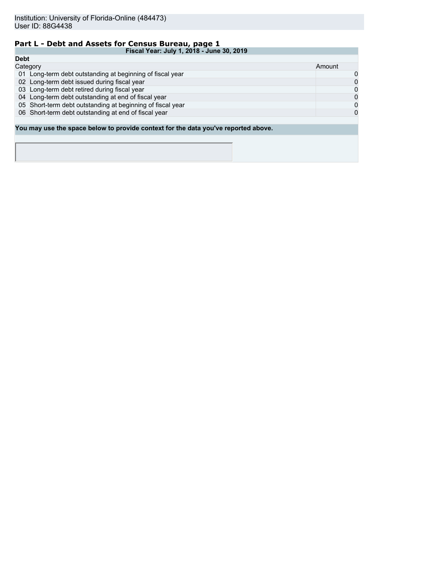# **Part L - Debt and Assets for Census Bureau, page 1**

|             | Fiscal Year: July 1, 2018 - June 30, 2019                                          |   |  |  |
|-------------|------------------------------------------------------------------------------------|---|--|--|
| <b>Debt</b> |                                                                                    |   |  |  |
|             | Category                                                                           |   |  |  |
|             | 01 Long-term debt outstanding at beginning of fiscal year                          | 0 |  |  |
|             | 02 Long-term debt issued during fiscal year                                        | 0 |  |  |
|             | 03 Long-term debt retired during fiscal year                                       | 0 |  |  |
|             | 04 Long-term debt outstanding at end of fiscal year                                | 0 |  |  |
|             | 05 Short-term debt outstanding at beginning of fiscal year                         | 0 |  |  |
|             | 06 Short-term debt outstanding at end of fiscal year                               | 0 |  |  |
|             |                                                                                    |   |  |  |
|             | You may use the space below to provide context for the data you've reported above. |   |  |  |
|             |                                                                                    |   |  |  |
|             |                                                                                    |   |  |  |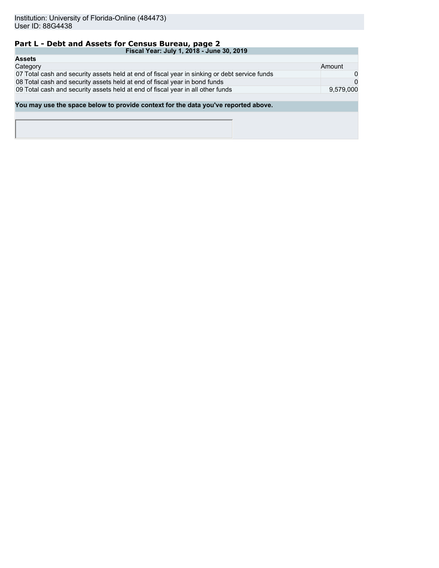# **Part L - Debt and Assets for Census Bureau, page 2**

| Fiscal Year: July 1, 2018 - June 30, 2019                                                     |           |
|-----------------------------------------------------------------------------------------------|-----------|
| <b>Assets</b>                                                                                 |           |
| Category                                                                                      | Amount    |
| 07 Total cash and security assets held at end of fiscal year in sinking or debt service funds | 0         |
| 08 Total cash and security assets held at end of fiscal year in bond funds                    | $\Omega$  |
| 09 Total cash and security assets held at end of fiscal year in all other funds               | 9,579,000 |
|                                                                                               |           |
| You may use the space below to provide context for the data you've reported above.            |           |
|                                                                                               |           |
|                                                                                               |           |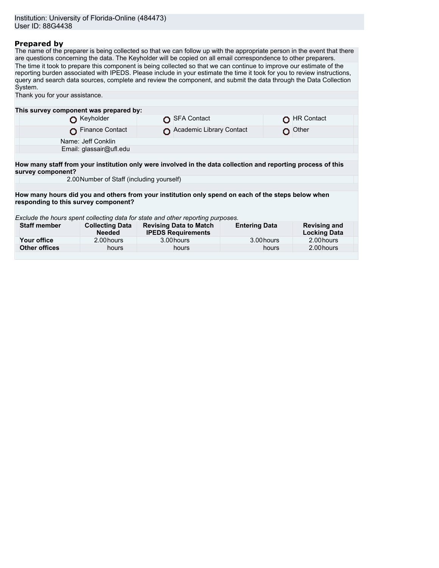#### **Prepared by**

The name of the preparer is being collected so that we can follow up with the appropriate person in the event that there are questions concerning the data. The Keyholder will be copied on all email correspondence to other preparers. The time it took to prepare this component is being collected so that we can continue to improve our estimate of the reporting burden associated with IPEDS. Please include in your estimate the time it took for you to review instructions, query and search data sources, complete and review the component, and submit the data through the Data Collection System. Thank you for your assistance.

| This survey component was prepared by:                                                                       |                                         |  |                                                            |                      |       |                                            |
|--------------------------------------------------------------------------------------------------------------|-----------------------------------------|--|------------------------------------------------------------|----------------------|-------|--------------------------------------------|
|                                                                                                              | Keyholder                               |  | <b>SFA Contact</b>                                         |                      |       | <b>HR Contact</b>                          |
|                                                                                                              | Finance Contact                         |  | Academic Library Contact                                   |                      |       | Other                                      |
|                                                                                                              | Name: Jeff Conklin                      |  |                                                            |                      |       |                                            |
|                                                                                                              | Email: glassair@ufl.edu                 |  |                                                            |                      |       |                                            |
|                                                                                                              |                                         |  |                                                            |                      |       |                                            |
| How many staff from your institution only were involved in the data collection and reporting process of this |                                         |  |                                                            |                      |       |                                            |
| survey component?                                                                                            |                                         |  |                                                            |                      |       |                                            |
| 2.00 Number of Staff (including yourself)                                                                    |                                         |  |                                                            |                      |       |                                            |
|                                                                                                              |                                         |  |                                                            |                      |       |                                            |
| How many hours did you and others from your institution only spend on each of the steps below when           |                                         |  |                                                            |                      |       |                                            |
| responding to this survey component?                                                                         |                                         |  |                                                            |                      |       |                                            |
|                                                                                                              |                                         |  |                                                            |                      |       |                                            |
| Exclude the hours spent collecting data for state and other reporting purposes.                              |                                         |  |                                                            |                      |       |                                            |
| <b>Staff member</b>                                                                                          | <b>Collecting Data</b><br><b>Needed</b> |  | <b>Revising Data to Match</b><br><b>IPEDS Requirements</b> | <b>Entering Data</b> |       | <b>Revising and</b><br><b>Locking Data</b> |
| Your office                                                                                                  | 2.00 hours                              |  | 3.00 hours                                                 | 3.00 hours           |       | 2.00 hours                                 |
| <b>Other offices</b>                                                                                         | hours                                   |  | hours                                                      |                      | hours | 2.00 hours                                 |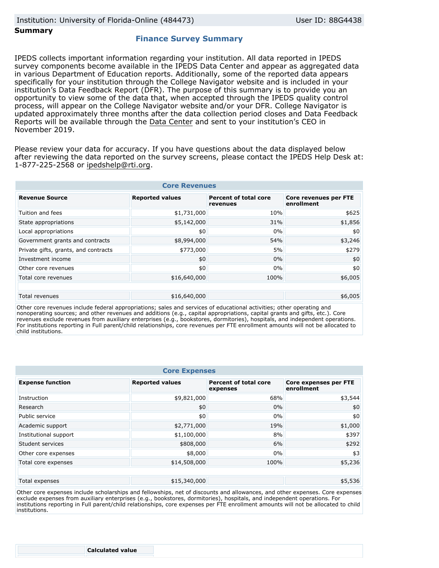#### **Summary**

### **Finance Survey Summary**

IPEDS collects important information regarding your institution. All data reported in IPEDS survey components become available in the IPEDS Data Center and appear as aggregated data in various Department of Education reports. Additionally, some of the reported data appears specifically for your institution through the College Navigator website and is included in your institution's Data Feedback Report (DFR). The purpose of this summary is to provide you an opportunity to view some of the data that, when accepted through the IPEDS quality control process, will appear on the College Navigator website and/or your DFR. College Navigator is updated approximately three months after the data collection period closes and Data Feedback Reports will be available through the [Data Center](https://nces.ed.gov/ipeds/use-the-data) and sent to your institution's CEO in November 2019.

Please review your data for accuracy. If you have questions about the data displayed below after reviewing the data reported on the survey screens, please contact the IPEDS Help Desk at: 1-877-225-2568 or ipedshelp@rti.org.

| <b>Core Revenues</b>                 |                        |                                          |                                            |  |  |
|--------------------------------------|------------------------|------------------------------------------|--------------------------------------------|--|--|
| <b>Revenue Source</b>                | <b>Reported values</b> | <b>Percent of total core</b><br>revenues | <b>Core revenues per FTE</b><br>enrollment |  |  |
| Tuition and fees                     | \$1,731,000            | 10%                                      | \$625                                      |  |  |
| State appropriations                 | \$5,142,000            | 31%                                      | \$1,856                                    |  |  |
| Local appropriations                 | \$0                    | 0%                                       | \$0                                        |  |  |
| Government grants and contracts      | \$8,994,000            | 54%                                      | \$3,246                                    |  |  |
| Private gifts, grants, and contracts | \$773,000              | 5%                                       | \$279                                      |  |  |
| Investment income                    | \$0                    | 0%                                       | \$0                                        |  |  |
| Other core revenues                  | \$0                    | 0%                                       | \$0                                        |  |  |
| Total core revenues                  | \$16,640,000           | 100%                                     | \$6,005                                    |  |  |
|                                      |                        |                                          |                                            |  |  |
| Total revenues                       | \$16,640,000           |                                          | \$6,005                                    |  |  |

Other core revenues include federal appropriations; sales and services of educational activities; other operating and nonoperating sources; and other revenues and additions (e.g., capital appropriations, capital grants and gifts, etc.). Core revenues exclude revenues from auxiliary enterprises (e.g., bookstores, dormitories), hospitals, and independent operations. For institutions reporting in Full parent/child relationships, core revenues per FTE enrollment amounts will not be allocated to child institutions.

| <b>Core Expenses</b>    |                        |                                          |                                            |  |  |
|-------------------------|------------------------|------------------------------------------|--------------------------------------------|--|--|
| <b>Expense function</b> | <b>Reported values</b> | <b>Percent of total core</b><br>expenses | <b>Core expenses per FTE</b><br>enrollment |  |  |
| Instruction             | \$9,821,000            | 68%                                      | \$3,544                                    |  |  |
| Research                | \$0                    | 0%                                       | \$0                                        |  |  |
| Public service          | \$0                    | 0%                                       | \$0                                        |  |  |
| Academic support        | \$2,771,000            | 19%                                      | \$1,000                                    |  |  |
| Institutional support   | \$1,100,000            | 8%                                       | \$397                                      |  |  |
| Student services        | \$808,000              | 6%                                       | \$292                                      |  |  |
| Other core expenses     | \$8,000                | 0%                                       | \$3                                        |  |  |
| Total core expenses     | \$14,508,000           | 100%                                     | \$5,236                                    |  |  |
|                         |                        |                                          |                                            |  |  |
| Total expenses          | \$15,340,000           |                                          | \$5,536                                    |  |  |

Other core expenses include scholarships and fellowships, net of discounts and allowances, and other expenses. Core expenses exclude expenses from auxiliary enterprises (e.g., bookstores, dormitories), hospitals, and independent operations. For institutions reporting in Full parent/child relationships, core expenses per FTE enrollment amounts will not be allocated to child institutions.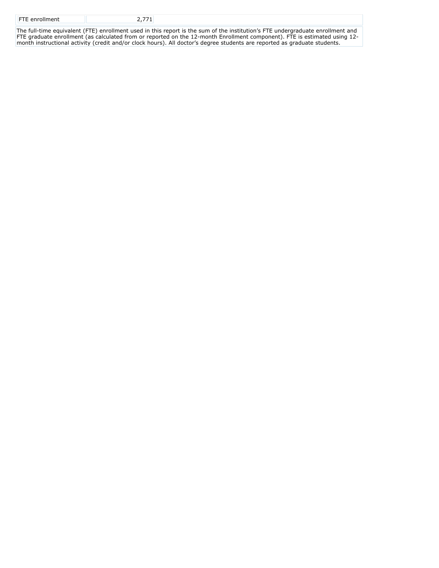| <b>FTE</b> enrollment |                                                                                                   |
|-----------------------|---------------------------------------------------------------------------------------------------|
|                       | The full-time equivalent (ETE) enrollment used in this report is the sum of the institution's ETE |

The full-time equivalent (FTE) enrollment used in this report is the sum of the institution's FTE undergraduate enrollment and FTE graduate enrollment (as calculated from or reported on the 12-month Enrollment component). FTE is estimated using 12 month instructional activity (credit and/or clock hours). All doctor's degree students are reported as graduate students.